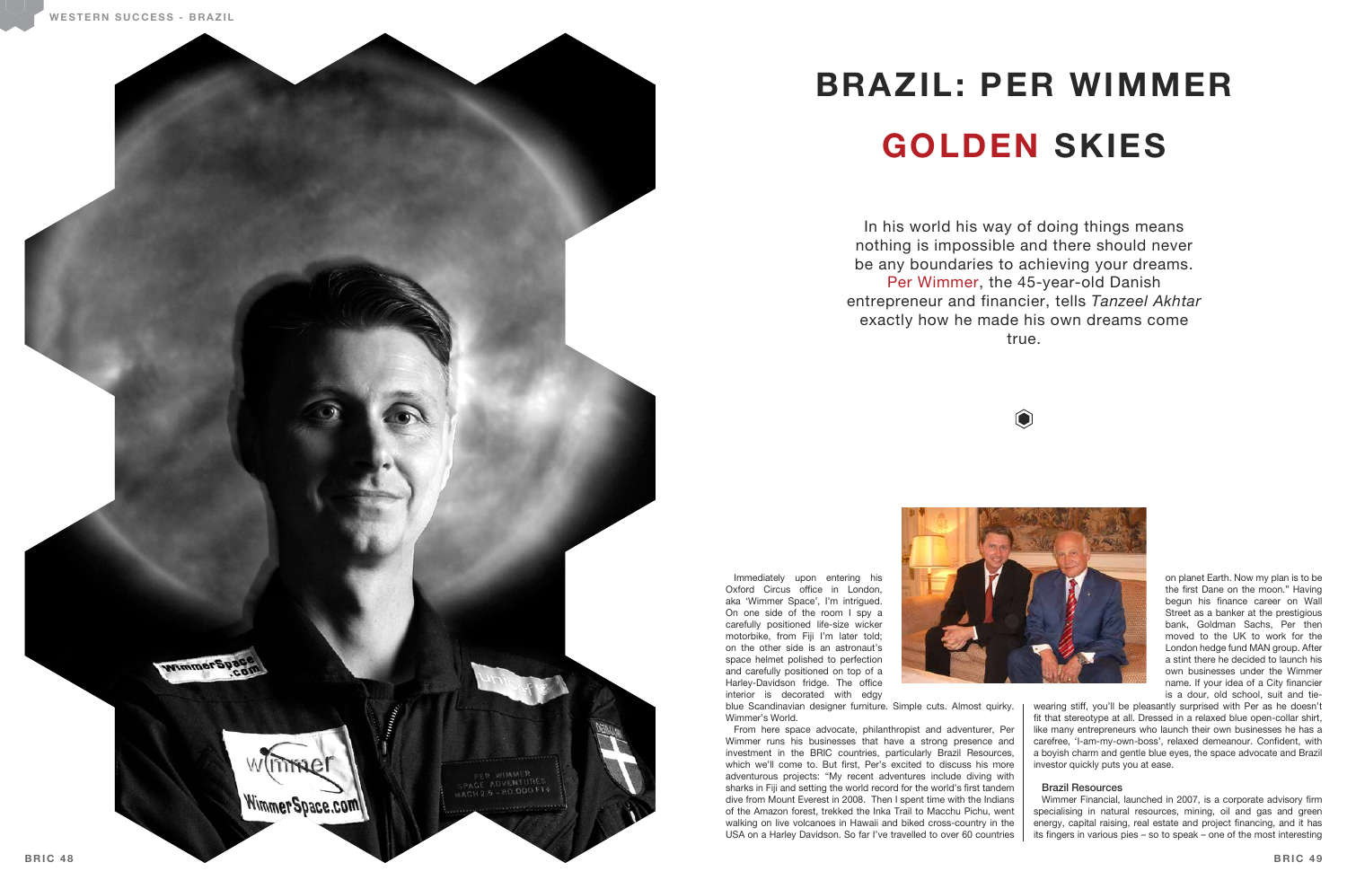

## **BRAZIL: PER WIMMER GOLDEN SKIES**

In his world his way of doing things means nothing is impossible and there should never be any boundaries to achieving your dreams. Per Wimmer, the 45-year-old Danish entrepreneur and financier, tells *Tanzeel Akhtar* exactly how he made his own dreams come true.





Immediately upon entering his Oxford Circus office in London. aka 'Wimmer Space', I'm intrigued. On one side of the room I spy a carefully positioned life-size wicker motorbike, from Fiji I'm later told; on the other side is an astronaut's space helmet polished to perfection and carefully positioned on top of a Harley-Davidson fridge. The office interior is decorated with edgy blue Scandinavian designer furniture. Simple cuts. Almost quirky. Wimmer's World.

wearing stiff, you'll be pleasantly surprised with Per as he doesn't fit that stereotype at all. Dressed in a relaxed blue open-collar shirt, like many entrepreneurs who launch their own businesses he has a carefree, 'I-am-my-own-boss', relaxed demeanour. Confident, with a boyish charm and gentle blue eyes, the space advocate and Brazil investor quickly puts you at ease.

From here space advocate, philanthropist and adventurer, Per Wimmer runs his businesses that have a strong presence and investment in the BRIC countries, particularly Brazil Resources, which we'll come to. But first, Per's excited to discuss his more adventurous projects: "My recent adventures include diving with sharks in Fiji and setting the world record for the world's first tandem dive from Mount Everest in 2008. Then I spent time with the Indians of the Amazon forest, trekked the Inka Trail to Macchu Pichu, went walking on live volcanoes in Hawaii and biked cross-country in the USA on a Harley Davidson. So far I've travelled to over 60 countries

on planet Earth. Now my plan is to be the first Dane on the moon." Having begun his finance career on Wall Street as a banker at the prestigious bank, Goldman Sachs, Per then moved to the UK to work for the London hedge fund MAN group. After a stint there he decided to launch his own businesses under the Wimmer name. If your idea of a City financier is a dour, old school, suit and tie-

## Brazil Resources

Wimmer Financial, launched in 2007, is a corporate advisory firm specialising in natural resources, mining, oil and gas and green energy, capital raising, real estate and project financing, and it has its fingers in various pies  $-$  so to speak  $-$  one of the most interesting